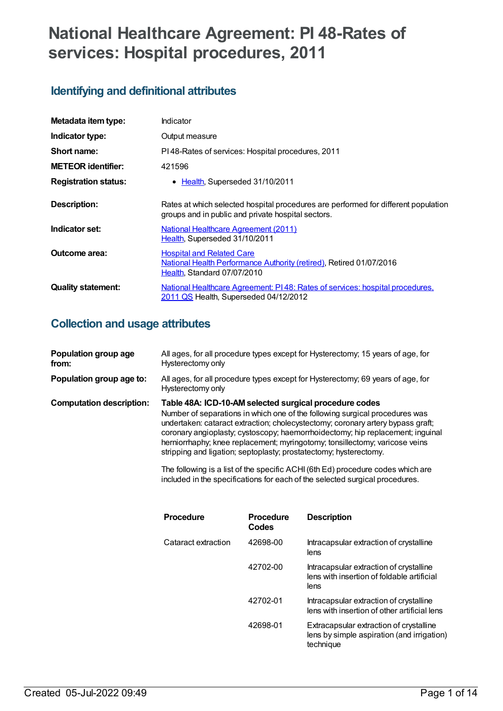# **National Healthcare Agreement: PI 48-Rates of services: Hospital procedures, 2011**

# **Identifying and definitional attributes**

| Metadata item type:         | Indicator                                                                                                                                |
|-----------------------------|------------------------------------------------------------------------------------------------------------------------------------------|
| Indicator type:             | Output measure                                                                                                                           |
| Short name:                 | PI48-Rates of services: Hospital procedures, 2011                                                                                        |
| <b>METEOR identifier:</b>   | 421596                                                                                                                                   |
| <b>Registration status:</b> | Health, Superseded 31/10/2011<br>$\bullet$                                                                                               |
| <b>Description:</b>         | Rates at which selected hospital procedures are performed for different population<br>groups and in public and private hospital sectors. |
| Indicator set:              | National Healthcare Agreement (2011)<br>Health, Superseded 31/10/2011                                                                    |
| Outcome area:               | <b>Hospital and Related Care</b><br>National Health Performance Authority (retired), Retired 01/07/2016<br>Health, Standard 07/07/2010   |
| <b>Quality statement:</b>   | National Healthcare Agreement: PI48: Rates of services: hospital procedures.<br>2011 QS Health, Superseded 04/12/2012                    |

# **Collection and usage attributes**

| Population group age<br>from:   | All ages, for all procedure types except for Hysterectomy; 15 years of age, for<br>Hysterectomy only                                                                                                                                                                                                                                                                                                                                                           |
|---------------------------------|----------------------------------------------------------------------------------------------------------------------------------------------------------------------------------------------------------------------------------------------------------------------------------------------------------------------------------------------------------------------------------------------------------------------------------------------------------------|
| Population group age to:        | All ages, for all procedure types except for Hysterectomy; 69 years of age, for<br>Hysterectomy only                                                                                                                                                                                                                                                                                                                                                           |
| <b>Computation description:</b> | Table 48A: ICD-10-AM selected surgical procedure codes<br>Number of separations in which one of the following surgical procedures was<br>undertaken: cataract extraction; cholecystectomy; coronary artery bypass graft;<br>coronary angioplasty; cystoscopy; haemorrhoidectomy; hip replacement; inquinal<br>herniorrhaphy; knee replacement; myringotomy; tonsillectomy; varicose veins<br>stripping and ligation; septoplasty; prostatectomy; hysterectomy. |

The following is a list of the specific ACHI(6th Ed) procedure codes which are included in the specifications for each of the selected surgical procedures.

| <b>Procedure</b><br>Codes | <b>Description</b>                                                                                 |
|---------------------------|----------------------------------------------------------------------------------------------------|
| 42698-00                  | Intracapsular extraction of crystalline<br>lens                                                    |
| 42702-00                  | Intracapsular extraction of crystalline<br>lens with insertion of foldable artificial<br>lens      |
| 42702-01                  | Intracapsular extraction of crystalline<br>lens with insertion of other artificial lens            |
| 42698-01                  | Extracapsular extraction of crystalline<br>lens by simple aspiration (and irrigation)<br>technique |
|                           |                                                                                                    |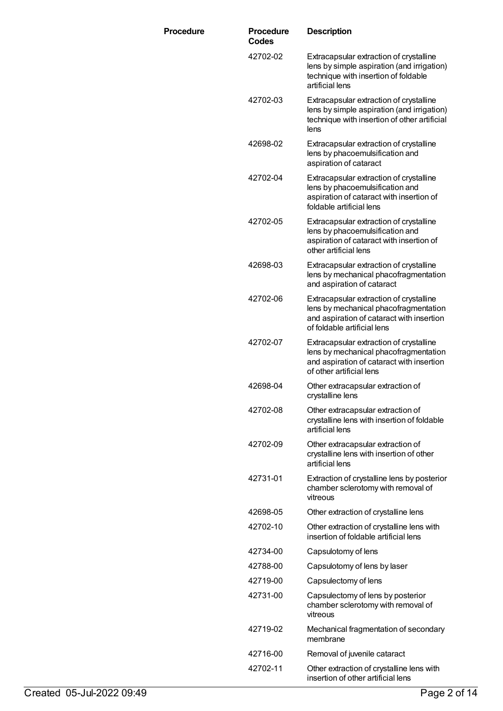| <b>Procedure</b> | <b>Procedure</b><br>Codes | <b>Description</b>                                                                                                                                           |
|------------------|---------------------------|--------------------------------------------------------------------------------------------------------------------------------------------------------------|
|                  | 42702-02                  | Extracapsular extraction of crystalline<br>lens by simple aspiration (and irrigation)<br>technique with insertion of foldable<br>artificial lens             |
|                  | 42702-03                  | Extracapsular extraction of crystalline<br>lens by simple aspiration (and irrigation)<br>technique with insertion of other artificial<br>lens                |
|                  | 42698-02                  | Extracapsular extraction of crystalline<br>lens by phacoemulsification and<br>aspiration of cataract                                                         |
|                  | 42702-04                  | Extracapsular extraction of crystalline<br>lens by phacoemulsification and<br>aspiration of cataract with insertion of<br>foldable artificial lens           |
|                  | 42702-05                  | Extracapsular extraction of crystalline<br>lens by phacoemulsification and<br>aspiration of cataract with insertion of<br>other artificial lens              |
|                  | 42698-03                  | Extracapsular extraction of crystalline<br>lens by mechanical phacofragmentation<br>and aspiration of cataract                                               |
|                  | 42702-06                  | Extracapsular extraction of crystalline<br>lens by mechanical phacofragmentation<br>and aspiration of cataract with insertion<br>of foldable artificial lens |
|                  | 42702-07                  | Extracapsular extraction of crystalline<br>lens by mechanical phacofragmentation<br>and aspiration of cataract with insertion<br>of other artificial lens    |
|                  | 42698-04                  | Other extracapsular extraction of<br>crystalline lens                                                                                                        |
|                  | 42702-08                  | Other extracapsular extraction of<br>crystalline lens with insertion of foldable<br>artificial lens                                                          |
|                  | 42702-09                  | Other extracapsular extraction of<br>crystalline lens with insertion of other<br>artificial lens                                                             |
|                  | 42731-01                  | Extraction of crystalline lens by posterior<br>chamber sclerotomy with removal of<br>vitreous                                                                |
|                  | 42698-05                  | Other extraction of crystalline lens                                                                                                                         |
|                  | 42702-10                  | Other extraction of crystalline lens with<br>insertion of foldable artificial lens                                                                           |
|                  | 42734-00                  | Capsulotomy of lens                                                                                                                                          |
|                  | 42788-00                  | Capsulotomy of lens by laser                                                                                                                                 |
|                  | 42719-00                  | Capsulectomy of lens                                                                                                                                         |
|                  | 42731-00                  | Capsulectomy of lens by posterior<br>chamber sclerotomy with removal of<br>vitreous                                                                          |
|                  | 42719-02                  | Mechanical fragmentation of secondary<br>membrane                                                                                                            |
|                  | 42716-00                  | Removal of juvenile cataract                                                                                                                                 |
|                  | 42702-11                  | Other extraction of crystalline lens with<br>insertion of other artificial lens                                                                              |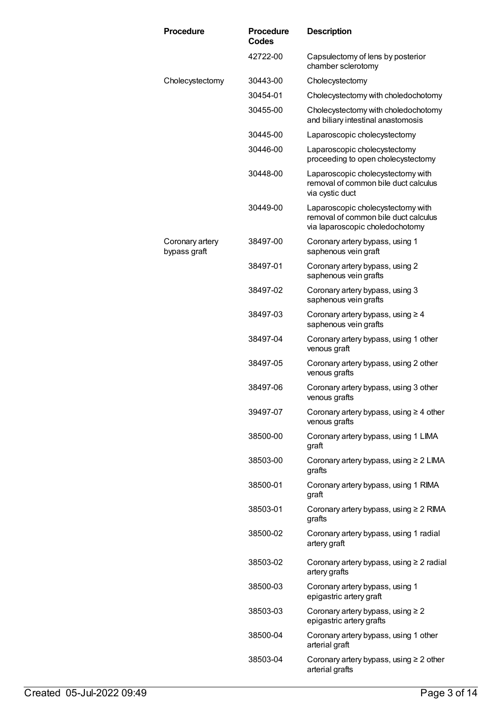| <b>Procedure</b>                | <b>Procedure</b><br>Codes | <b>Description</b>                                                                                           |
|---------------------------------|---------------------------|--------------------------------------------------------------------------------------------------------------|
|                                 | 42722-00                  | Capsulectomy of lens by posterior<br>chamber sclerotomy                                                      |
| Cholecystectomy                 | 30443-00                  | Cholecystectomy                                                                                              |
|                                 | 30454-01                  | Cholecystectomy with choledochotomy                                                                          |
|                                 | 30455-00                  | Cholecystectomy with choledochotomy<br>and biliary intestinal anastomosis                                    |
|                                 | 30445-00                  | Laparoscopic cholecystectomy                                                                                 |
|                                 | 30446-00                  | Laparoscopic cholecystectomy<br>proceeding to open cholecystectomy                                           |
|                                 | 30448-00                  | Laparoscopic cholecystectomy with<br>removal of common bile duct calculus<br>via cystic duct                 |
|                                 | 30449-00                  | Laparoscopic cholecystectomy with<br>removal of common bile duct calculus<br>via laparoscopic choledochotomy |
| Coronary artery<br>bypass graft | 38497-00                  | Coronary artery bypass, using 1<br>saphenous vein graft                                                      |
|                                 | 38497-01                  | Coronary artery bypass, using 2<br>saphenous vein grafts                                                     |
|                                 | 38497-02                  | Coronary artery bypass, using 3<br>saphenous vein grafts                                                     |
|                                 | 38497-03                  | Coronary artery bypass, using $\geq 4$<br>saphenous vein grafts                                              |
|                                 | 38497-04                  | Coronary artery bypass, using 1 other<br>venous graft                                                        |
|                                 | 38497-05                  | Coronary artery bypass, using 2 other<br>venous grafts                                                       |
|                                 | 38497-06                  | Coronary artery bypass, using 3 other<br>venous grafts                                                       |
|                                 | 39497-07                  | Coronary artery bypass, using $\geq 4$ other<br>venous grafts                                                |
|                                 | 38500-00                  | Coronary artery bypass, using 1 LIMA<br>graft                                                                |
|                                 | 38503-00                  | Coronary artery bypass, using $\geq 2$ LIMA<br>grafts                                                        |
|                                 | 38500-01                  | Coronary artery bypass, using 1 RIMA<br>graft                                                                |
|                                 | 38503-01                  | Coronary artery bypass, using $\geq 2$ RIMA<br>grafts                                                        |
|                                 | 38500-02                  | Coronary artery bypass, using 1 radial<br>artery graft                                                       |
|                                 | 38503-02                  | Coronary artery bypass, using $\geq 2$ radial<br>artery grafts                                               |
|                                 | 38500-03                  | Coronary artery bypass, using 1<br>epigastric artery graft                                                   |
|                                 | 38503-03                  | Coronary artery bypass, using $\geq 2$<br>epigastric artery grafts                                           |
|                                 | 38500-04                  | Coronary artery bypass, using 1 other<br>arterial graft                                                      |
|                                 | 38503-04                  | Coronary artery bypass, using $\geq 2$ other<br>arterial grafts                                              |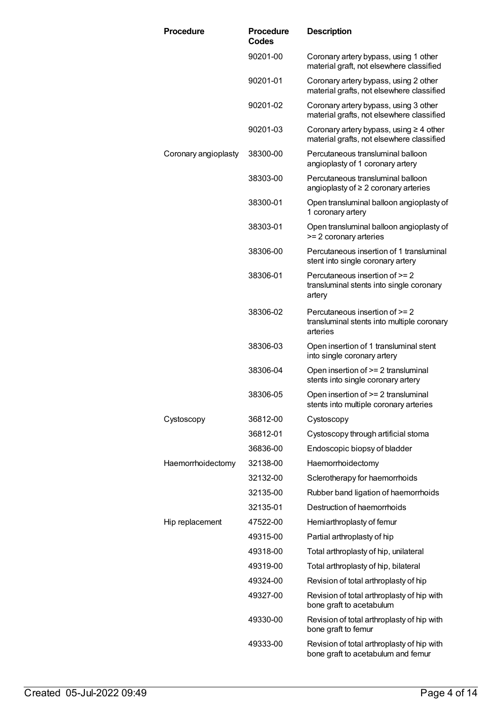| <b>Procedure</b>     | <b>Procedure</b><br>Codes | <b>Description</b>                                                                         |
|----------------------|---------------------------|--------------------------------------------------------------------------------------------|
|                      | 90201-00                  | Coronary artery bypass, using 1 other<br>material graft, not elsewhere classified          |
|                      | 90201-01                  | Coronary artery bypass, using 2 other<br>material grafts, not elsewhere classified         |
|                      | 90201-02                  | Coronary artery bypass, using 3 other<br>material grafts, not elsewhere classified         |
|                      | 90201-03                  | Coronary artery bypass, using $\geq 4$ other<br>material grafts, not elsewhere classified  |
| Coronary angioplasty | 38300-00                  | Percutaneous transluminal balloon<br>angioplasty of 1 coronary artery                      |
|                      | 38303-00                  | Percutaneous transluminal balloon<br>angioplasty of $\geq 2$ coronary arteries             |
|                      | 38300-01                  | Open transluminal balloon angioplasty of<br>1 coronary artery                              |
|                      | 38303-01                  | Open transluminal balloon angioplasty of<br>>= 2 coronary arteries                         |
|                      | 38306-00                  | Percutaneous insertion of 1 transluminal<br>stent into single coronary artery              |
|                      | 38306-01                  | Percutaneous insertion of >= 2<br>transluminal stents into single coronary<br>artery       |
|                      | 38306-02                  | Percutaneous insertion of $>= 2$<br>transluminal stents into multiple coronary<br>arteries |
|                      | 38306-03                  | Open insertion of 1 transluminal stent<br>into single coronary artery                      |
|                      | 38306-04                  | Open insertion of $>= 2$ transluminal<br>stents into single coronary artery                |
|                      | 38306-05                  | Open insertion of $>= 2$ transluminal<br>stents into multiple coronary arteries            |
| Cystoscopy           | 36812-00                  | Cystoscopy                                                                                 |
|                      | 36812-01                  | Cystoscopy through artificial stoma                                                        |
|                      | 36836-00                  | Endoscopic biopsy of bladder                                                               |
| Haemorrhoidectomy    | 32138-00                  | Haemorrhoidectomy                                                                          |
|                      | 32132-00                  | Sclerotherapy for haemorrhoids                                                             |
|                      | 32135-00                  | Rubber band ligation of haemorrhoids                                                       |
|                      | 32135-01                  | Destruction of haemorrhoids                                                                |
| Hip replacement      | 47522-00                  | Hemiarthroplasty of femur                                                                  |
|                      | 49315-00                  | Partial arthroplasty of hip                                                                |
|                      | 49318-00                  | Total arthroplasty of hip, unilateral                                                      |
|                      | 49319-00                  | Total arthroplasty of hip, bilateral                                                       |
|                      | 49324-00                  | Revision of total arthroplasty of hip                                                      |
|                      | 49327-00                  | Revision of total arthroplasty of hip with<br>bone graft to acetabulum                     |
|                      | 49330-00                  | Revision of total arthroplasty of hip with<br>bone graft to femur                          |
|                      | 49333-00                  | Revision of total arthroplasty of hip with<br>bone graft to acetabulum and femur           |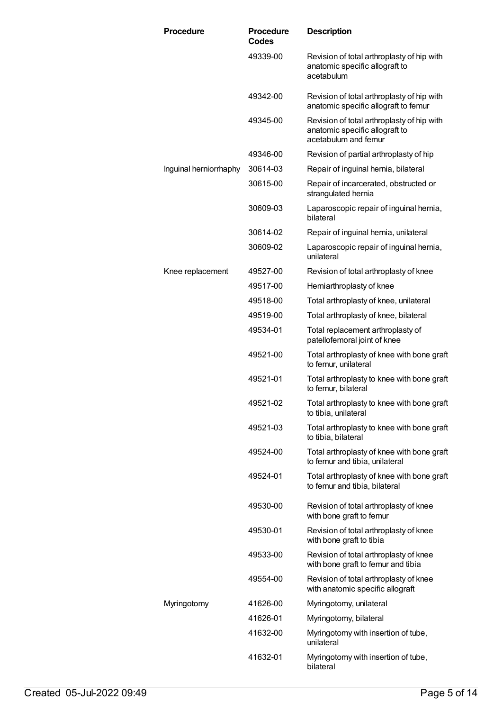| <b>Procedure</b>       | <b>Procedure</b><br>Codes | <b>Description</b>                                                                                   |
|------------------------|---------------------------|------------------------------------------------------------------------------------------------------|
|                        | 49339-00                  | Revision of total arthroplasty of hip with<br>anatomic specific allograft to<br>acetabulum           |
|                        | 49342-00                  | Revision of total arthroplasty of hip with<br>anatomic specific allograft to femur                   |
|                        | 49345-00                  | Revision of total arthroplasty of hip with<br>anatomic specific allograft to<br>acetabulum and femur |
|                        | 49346-00                  | Revision of partial arthroplasty of hip                                                              |
| Inguinal herniorrhaphy | 30614-03                  | Repair of inguinal hernia, bilateral                                                                 |
|                        | 30615-00                  | Repair of incarcerated, obstructed or<br>strangulated hernia                                         |
|                        | 30609-03                  | Laparoscopic repair of inguinal hernia,<br>bilateral                                                 |
|                        | 30614-02                  | Repair of inguinal hernia, unilateral                                                                |
|                        | 30609-02                  | Laparoscopic repair of inguinal hernia,<br>unilateral                                                |
| Knee replacement       | 49527-00                  | Revision of total arthroplasty of knee                                                               |
|                        | 49517-00                  | Hemiarthroplasty of knee                                                                             |
|                        | 49518-00                  | Total arthroplasty of knee, unilateral                                                               |
|                        | 49519-00                  | Total arthroplasty of knee, bilateral                                                                |
|                        | 49534-01                  | Total replacement arthroplasty of<br>patellofemoral joint of knee                                    |
|                        | 49521-00                  | Total arthroplasty of knee with bone graft<br>to femur, unilateral                                   |
|                        | 49521-01                  | Total arthroplasty to knee with bone graft<br>to femur, bilateral                                    |
|                        | 49521-02                  | Total arthroplasty to knee with bone graft<br>to tibia, unilateral                                   |
|                        | 49521-03                  | Total arthroplasty to knee with bone graft<br>to tibia, bilateral                                    |
|                        | 49524-00                  | Total arthroplasty of knee with bone graft<br>to femur and tibia, unilateral                         |
|                        | 49524-01                  | Total arthroplasty of knee with bone graft<br>to femur and tibia, bilateral                          |
|                        | 49530-00                  | Revision of total arthroplasty of knee<br>with bone graft to femur                                   |
|                        | 49530-01                  | Revision of total arthroplasty of knee<br>with bone graft to tibia                                   |
|                        | 49533-00                  | Revision of total arthroplasty of knee<br>with bone graft to femur and tibia                         |
|                        | 49554-00                  | Revision of total arthroplasty of knee<br>with anatomic specific allograft                           |
| Myringotomy            | 41626-00                  | Myringotomy, unilateral                                                                              |
|                        | 41626-01                  | Myringotomy, bilateral                                                                               |
|                        | 41632-00                  | Myringotomy with insertion of tube,<br>unilateral                                                    |
|                        | 41632-01                  | Myringotomy with insertion of tube,<br>bilateral                                                     |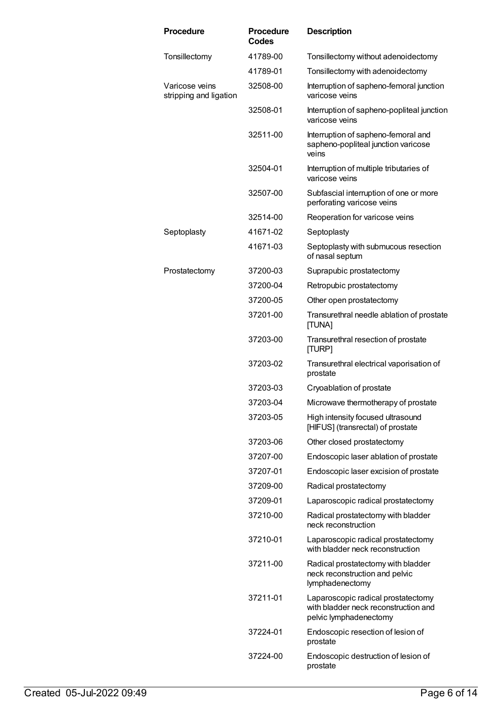| <b>Procedure</b>                         | <b>Procedure</b><br>Codes | <b>Description</b>                                                                                   |
|------------------------------------------|---------------------------|------------------------------------------------------------------------------------------------------|
| Tonsillectomy                            | 41789-00                  | Tonsillectomy without adenoidectomy                                                                  |
|                                          | 41789-01                  | Tonsillectomy with adenoidectomy                                                                     |
| Varicose veins<br>stripping and ligation | 32508-00                  | Interruption of sapheno-femoral junction<br>varicose veins                                           |
|                                          | 32508-01                  | Interruption of sapheno-popliteal junction<br>varicose veins                                         |
|                                          | 32511-00                  | Interruption of sapheno-femoral and<br>sapheno-popliteal junction varicose<br>veins                  |
|                                          | 32504-01                  | Interruption of multiple tributaries of<br>varicose veins                                            |
|                                          | 32507-00                  | Subfascial interruption of one or more<br>perforating varicose veins                                 |
|                                          | 32514-00                  | Reoperation for varicose veins                                                                       |
| Septoplasty                              | 41671-02                  | Septoplasty                                                                                          |
|                                          | 41671-03                  | Septoplasty with submucous resection<br>of nasal septum                                              |
| Prostatectomy                            | 37200-03                  | Suprapubic prostatectomy                                                                             |
|                                          | 37200-04                  | Retropubic prostatectomy                                                                             |
|                                          | 37200-05                  | Other open prostatectomy                                                                             |
|                                          | 37201-00                  | Transurethral needle ablation of prostate<br>[TUNA]                                                  |
|                                          | 37203-00                  | Transurethral resection of prostate<br>[TURP]                                                        |
|                                          | 37203-02                  | Transurethral electrical vaporisation of<br>prostate                                                 |
|                                          | 37203-03                  | Cryoablation of prostate                                                                             |
|                                          | 37203-04                  | Microwave thermotherapy of prostate                                                                  |
|                                          | 37203-05                  | High intensity focused ultrasound<br>[HIFUS] (transrectal) of prostate                               |
|                                          | 37203-06                  | Other closed prostatectomy                                                                           |
|                                          | 37207-00                  | Endoscopic laser ablation of prostate                                                                |
|                                          | 37207-01                  | Endoscopic laser excision of prostate                                                                |
|                                          | 37209-00                  | Radical prostatectomy                                                                                |
|                                          | 37209-01                  | Laparoscopic radical prostatectomy                                                                   |
|                                          | 37210-00                  | Radical prostatectomy with bladder<br>neck reconstruction                                            |
|                                          | 37210-01                  | Laparoscopic radical prostatectomy<br>with bladder neck reconstruction                               |
|                                          | 37211-00                  | Radical prostatectomy with bladder<br>neck reconstruction and pelvic<br>lymphadenectomy              |
|                                          | 37211-01                  | Laparoscopic radical prostatectomy<br>with bladder neck reconstruction and<br>pelvic lymphadenectomy |
|                                          | 37224-01                  | Endoscopic resection of lesion of<br>prostate                                                        |
|                                          | 37224-00                  | Endoscopic destruction of lesion of<br>prostate                                                      |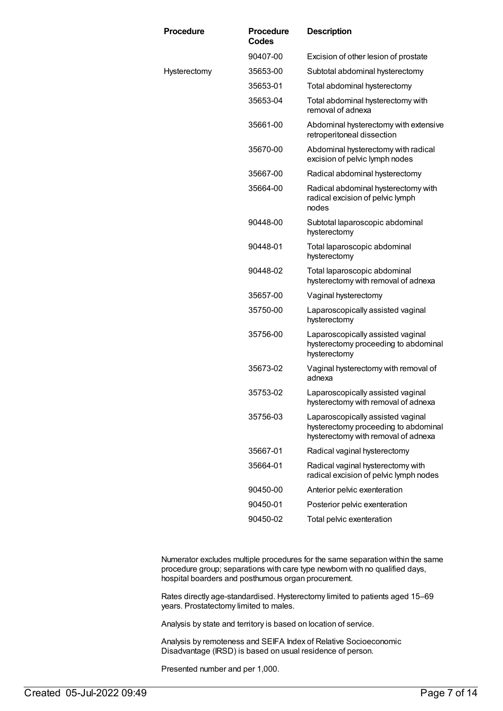| <b>Procedure</b> | <b>Procedure</b><br><b>Codes</b> | <b>Description</b>                                                                                               |
|------------------|----------------------------------|------------------------------------------------------------------------------------------------------------------|
|                  | 90407-00                         | Excision of other lesion of prostate                                                                             |
| Hysterectomy     | 35653-00                         | Subtotal abdominal hysterectomy                                                                                  |
|                  | 35653-01                         | Total abdominal hysterectomy                                                                                     |
|                  | 35653-04                         | Total abdominal hysterectomy with<br>removal of adnexa                                                           |
|                  | 35661-00                         | Abdominal hysterectomy with extensive<br>retroperitoneal dissection                                              |
|                  | 35670-00                         | Abdominal hysterectomy with radical<br>excision of pelvic lymph nodes                                            |
|                  | 35667-00                         | Radical abdominal hysterectomy                                                                                   |
|                  | 35664-00                         | Radical abdominal hysterectomy with<br>radical excision of pelvic lymph<br>nodes                                 |
|                  | 90448-00                         | Subtotal laparoscopic abdominal<br>hysterectomy                                                                  |
|                  | 90448-01                         | Total laparoscopic abdominal<br>hysterectomy                                                                     |
|                  | 90448-02                         | Total laparoscopic abdominal<br>hysterectomy with removal of adnexa                                              |
|                  | 35657-00                         | Vaginal hysterectomy                                                                                             |
|                  | 35750-00                         | Laparoscopically assisted vaginal<br>hysterectomy                                                                |
|                  | 35756-00                         | Laparoscopically assisted vaginal<br>hysterectomy proceeding to abdominal<br>hysterectomy                        |
|                  | 35673-02                         | Vaginal hysterectomy with removal of<br>adnexa                                                                   |
|                  | 35753-02                         | Laparoscopically assisted vaginal<br>hysterectomy with removal of adnexa                                         |
|                  | 35756-03                         | Laparoscopically assisted vaginal<br>hysterectomy proceeding to abdominal<br>hysterectomy with removal of adnexa |
|                  | 35667-01                         | Radical vaginal hysterectomy                                                                                     |
|                  | 35664-01                         | Radical vaginal hysterectomy with<br>radical excision of pelvic lymph nodes                                      |
|                  | 90450-00                         | Anterior pelvic exenteration                                                                                     |
|                  | 90450-01                         | Posterior pelvic exenteration                                                                                    |
|                  | 90450-02                         | Total pelvic exenteration                                                                                        |

Numerator excludes multiple procedures for the same separation within the same procedure group; separations with care type newborn with no qualified days, hospital boarders and posthumous organ procurement.

Rates directly age-standardised. Hysterectomy limited to patients aged 15–69 years. Prostatectomy limited to males.

Analysis by state and territory is based on location of service.

Analysis by remoteness and SEIFA Index of Relative Socioeconomic Disadvantage (IRSD) is based on usual residence of person.

Presented number and per 1,000.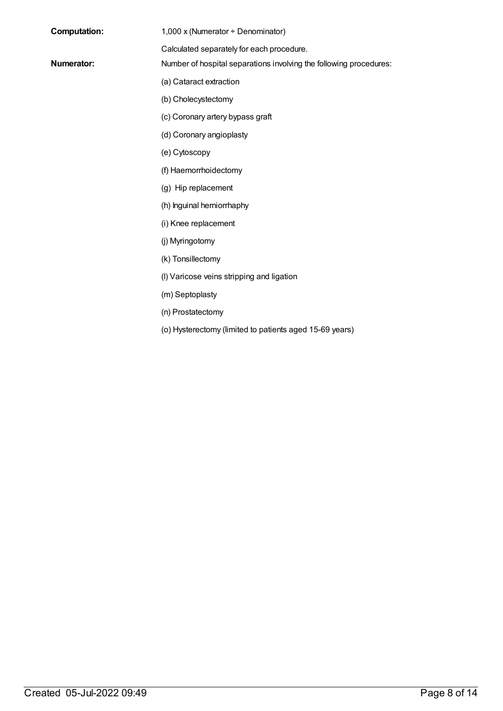| <b>Computation:</b> |
|---------------------|
|---------------------|

1,000 x (Numerator ÷ Denominator)

Calculated separately for each procedure.

- **Numerator:** Number of hospital separations involving the following procedures:
	- (a) Cataract extraction
	- (b) Cholecystectomy
	- (c) Coronary artery bypass graft
	- (d) Coronary angioplasty
	- (e) Cytoscopy
	- (f) Haemorrhoidectomy
	- (g) Hip replacement
	- (h) Inguinal herniorrhaphy
	- (i) Knee replacement
	- (j) Myringotomy
	- (k) Tonsillectomy
	- (l) Varicose veins stripping and ligation
	- (m) Septoplasty
	- (n) Prostatectomy
	- (o) Hysterectomy (limited to patients aged 15-69 years)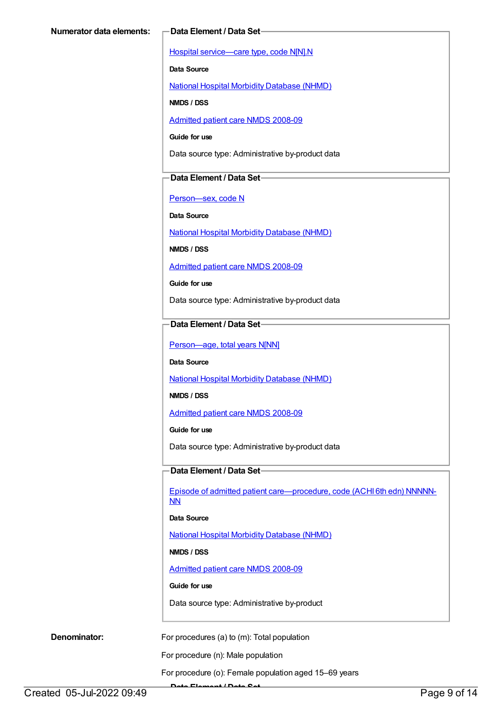Hospital [service—care](https://meteor.aihw.gov.au/content/270174) type, code N[N].N

**Data Source**

National Hospital Morbidity [Database](https://meteor.aihw.gov.au/content/394352) (NHMD)

**NMDS / DSS**

[Admitted](https://meteor.aihw.gov.au/content/361679) patient care NMDS 2008-09

**Guide for use**

Data source type: Administrative by-product data

## **Data Element / Data Set**

[Person—sex,](https://meteor.aihw.gov.au/content/287316) code N

**Data Source**

National Hospital Morbidity [Database](https://meteor.aihw.gov.au/content/394352) (NHMD)

**NMDS / DSS**

[Admitted](https://meteor.aihw.gov.au/content/361679) patient care NMDS 2008-09

**Guide for use**

Data source type: Administrative by-product data

## **Data Element / Data Set**

Person-age, total years N[NN]

**Data Source**

National Hospital Morbidity [Database](https://meteor.aihw.gov.au/content/394352) (NHMD)

**NMDS / DSS**

[Admitted](https://meteor.aihw.gov.au/content/361679) patient care NMDS 2008-09

**Guide for use**

Data source type: Administrative by-product data

# **Data Element / Data Set**

Episode of admitted patient [care—procedure,](https://meteor.aihw.gov.au/content/361687) code (ACHI 6th edn) NNNNN-NN

**Data Source**

National Hospital Morbidity [Database](https://meteor.aihw.gov.au/content/394352) (NHMD)

**NMDS / DSS**

[Admitted](https://meteor.aihw.gov.au/content/361679) patient care NMDS 2008-09

## **Guide for use**

Data source type: Administrative by-product

**Denominator:** For procedures (a) to (m): Total population

For procedure (n): Male population

For procedure (o): Female population aged 15–69 years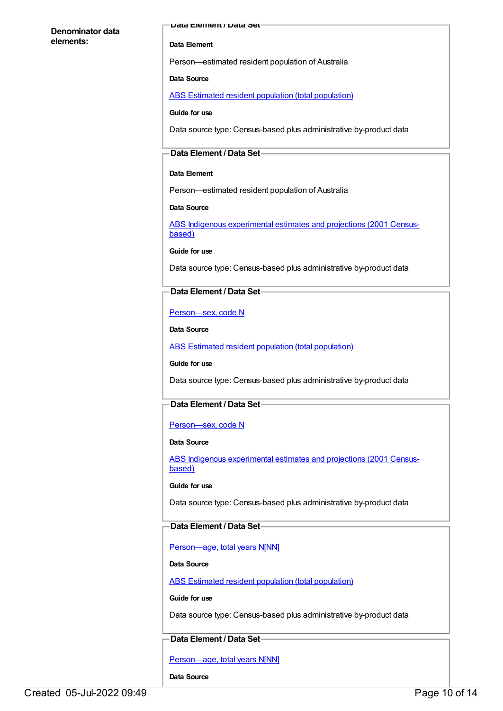### **Denominator data elements:**

#### **Data Element / Data Set**

#### **Data Element**

Person—estimated resident population of Australia

#### **Data Source**

ABS Estimated resident population (total [population\)](https://meteor.aihw.gov.au/content/393625)

**Guide for use**

Data source type: Census-based plus administrative by-product data

## **Data Element / Data Set**

#### **Data Element**

Person—estimated resident population of Australia

**Data Source**

ABS Indigenous [experimental](https://meteor.aihw.gov.au/content/394092) estimates and projections (2001 Censusbased)

**Guide for use**

Data source type: Census-based plus administrative by-product data

## **Data Element / Data Set**

[Person—sex,](https://meteor.aihw.gov.au/content/287316) code N

**Data Source**

ABS Estimated resident population (total [population\)](https://meteor.aihw.gov.au/content/393625)

**Guide for use**

Data source type: Census-based plus administrative by-product data

# **Data Element / Data Set**

### [Person—sex,](https://meteor.aihw.gov.au/content/287316) code N

#### **Data Source**

ABS Indigenous [experimental](https://meteor.aihw.gov.au/content/394092) estimates and projections (2001 Censusbased)

#### **Guide for use**

Data source type: Census-based plus administrative by-product data

### **Data Element / Data Set**

[Person—age,](https://meteor.aihw.gov.au/content/303794) total years N[NN]

#### **Data Source**

ABS Estimated resident population (total [population\)](https://meteor.aihw.gov.au/content/393625)

#### **Guide for use**

Data source type: Census-based plus administrative by-product data

## **Data Element / Data Set**

Person-age, total years N[NN]

**Data Source**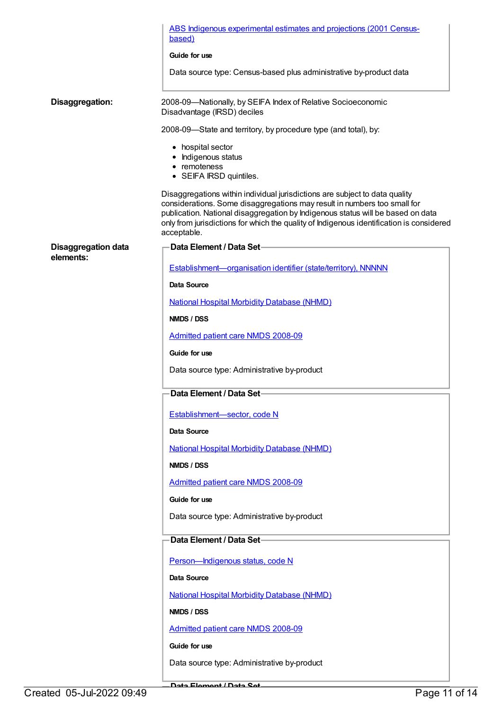|                            | ABS Indigenous experimental estimates and projections (2001 Census-<br>based)                                                                                                                                                                                                                                                                         |
|----------------------------|-------------------------------------------------------------------------------------------------------------------------------------------------------------------------------------------------------------------------------------------------------------------------------------------------------------------------------------------------------|
|                            | Guide for use                                                                                                                                                                                                                                                                                                                                         |
|                            | Data source type: Census-based plus administrative by-product data                                                                                                                                                                                                                                                                                    |
|                            |                                                                                                                                                                                                                                                                                                                                                       |
| Disaggregation:            | 2008-09-Nationally, by SEIFA Index of Relative Socioeconomic<br>Disadvantage (IRSD) deciles                                                                                                                                                                                                                                                           |
|                            | 2008-09-State and territory, by procedure type (and total), by:                                                                                                                                                                                                                                                                                       |
|                            | • hospital sector<br>• Indigenous status<br>• remoteness<br>• SEIFA IRSD quintiles.                                                                                                                                                                                                                                                                   |
|                            | Disaggregations within individual jurisdictions are subject to data quality<br>considerations. Some disaggregations may result in numbers too small for<br>publication. National disaggregation by Indigenous status will be based on data<br>only from jurisdictions for which the quality of Indigenous identification is considered<br>acceptable. |
| <b>Disaggregation data</b> | Data Element / Data Set-                                                                                                                                                                                                                                                                                                                              |
| elements:                  | Establishment-organisation identifier (state/territory), NNNNN                                                                                                                                                                                                                                                                                        |
|                            | Data Source                                                                                                                                                                                                                                                                                                                                           |
|                            | <b>National Hospital Morbidity Database (NHMD)</b>                                                                                                                                                                                                                                                                                                    |
|                            | <b>NMDS / DSS</b>                                                                                                                                                                                                                                                                                                                                     |
|                            | <b>Admitted patient care NMDS 2008-09</b>                                                                                                                                                                                                                                                                                                             |
|                            | Guide for use                                                                                                                                                                                                                                                                                                                                         |
|                            | Data source type: Administrative by-product                                                                                                                                                                                                                                                                                                           |
|                            | Data Element / Data Set-                                                                                                                                                                                                                                                                                                                              |
|                            | Establishment-sector, code N                                                                                                                                                                                                                                                                                                                          |
|                            | <b>Data Source</b>                                                                                                                                                                                                                                                                                                                                    |
|                            | <b>National Hospital Morbidity Database (NHMD)</b>                                                                                                                                                                                                                                                                                                    |
|                            | NMDS / DSS                                                                                                                                                                                                                                                                                                                                            |
|                            | Admitted patient care NMDS 2008-09                                                                                                                                                                                                                                                                                                                    |
|                            | Guide for use                                                                                                                                                                                                                                                                                                                                         |
|                            | Data source type: Administrative by-product                                                                                                                                                                                                                                                                                                           |
|                            | Data Element / Data Set-                                                                                                                                                                                                                                                                                                                              |
|                            | Person-Indigenous status, code N                                                                                                                                                                                                                                                                                                                      |
|                            | <b>Data Source</b>                                                                                                                                                                                                                                                                                                                                    |
|                            | <b>National Hospital Morbidity Database (NHMD)</b>                                                                                                                                                                                                                                                                                                    |
|                            | NMDS / DSS                                                                                                                                                                                                                                                                                                                                            |
|                            | Admitted patient care NMDS 2008-09                                                                                                                                                                                                                                                                                                                    |
|                            | Guide for use                                                                                                                                                                                                                                                                                                                                         |
|                            | Data source type: Administrative by-product                                                                                                                                                                                                                                                                                                           |
|                            |                                                                                                                                                                                                                                                                                                                                                       |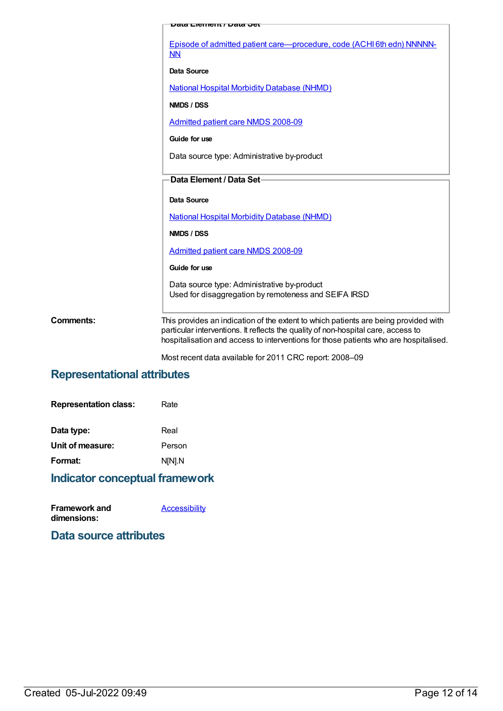|                  | שמע ∟וקוווקווג ו שמעט ש                                                                                                                                                                                                                                          |
|------------------|------------------------------------------------------------------------------------------------------------------------------------------------------------------------------------------------------------------------------------------------------------------|
|                  | Episode of admitted patient care—procedure, code (ACHI 6th edn) NNNNN-<br>NN                                                                                                                                                                                     |
|                  | <b>Data Source</b>                                                                                                                                                                                                                                               |
|                  | <b>National Hospital Morbidity Database (NHMD)</b>                                                                                                                                                                                                               |
|                  | NMDS / DSS                                                                                                                                                                                                                                                       |
|                  | <b>Admitted patient care NMDS 2008-09</b>                                                                                                                                                                                                                        |
|                  | Guide for use                                                                                                                                                                                                                                                    |
|                  | Data source type: Administrative by-product                                                                                                                                                                                                                      |
|                  | Data Element / Data Set-                                                                                                                                                                                                                                         |
|                  | Data Source                                                                                                                                                                                                                                                      |
|                  | <b>National Hospital Morbidity Database (NHMD)</b>                                                                                                                                                                                                               |
|                  | NMDS / DSS                                                                                                                                                                                                                                                       |
|                  | Admitted patient care NMDS 2008-09                                                                                                                                                                                                                               |
|                  | Guide for use                                                                                                                                                                                                                                                    |
|                  | Data source type: Administrative by-product<br>Used for disaggregation by remoteness and SEIFA IRSD                                                                                                                                                              |
| <b>Comments:</b> | This provides an indication of the extent to which patients are being provided with<br>particular interventions. It reflects the quality of non-hospital care, access to<br>hospitalisation and access to interventions for those patients who are hospitalised. |

Most recent data available for 2011 CRC report: 2008–09

# **Representational attributes**

| Rate   |
|--------|
| Real   |
| Person |
| N[N].N |
|        |

# **Indicator conceptual framework**

| <b>Framework and</b> | <b>Accessibility</b> |
|----------------------|----------------------|
| dimensions:          |                      |

**Data source attributes**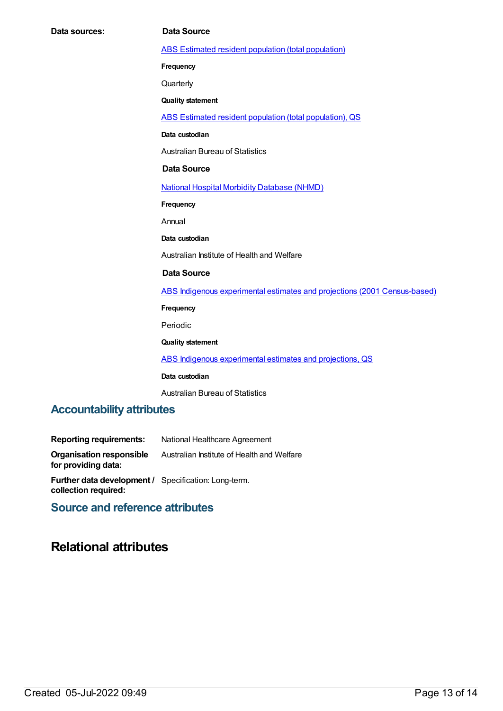ABS Estimated resident population (total [population\)](https://meteor.aihw.gov.au/content/393625)

**Frequency**

**Quarterly** 

**Quality statement**

ABS Estimated resident population (total [population\),](https://meteor.aihw.gov.au/content/449216) QS

**Data custodian**

Australian Bureau of Statistics

#### **Data Source**

National Hospital Morbidity [Database](https://meteor.aihw.gov.au/content/394352) (NHMD)

**Frequency**

Annual

**Data custodian**

Australian Institute of Health and Welfare

### **Data Source**

ABS Indigenous experimental estimates and projections (2001 [Census-based\)](https://meteor.aihw.gov.au/content/394092)

**Frequency**

Periodic

**Quality statement**

ABS Indigenous [experimental](https://meteor.aihw.gov.au/content/449223) estimates and projections, QS

**Data custodian**

Australian Bureau of Statistics

# **Accountability attributes**

| <b>Reporting requirements:</b>                                                      | National Healthcare Agreement              |
|-------------------------------------------------------------------------------------|--------------------------------------------|
| Organisation responsible<br>for providing data:                                     | Australian Institute of Health and Welfare |
| <b>Further data development / Specification: Long-term.</b><br>collection required: |                                            |

# **Source and reference attributes**

# **Relational attributes**